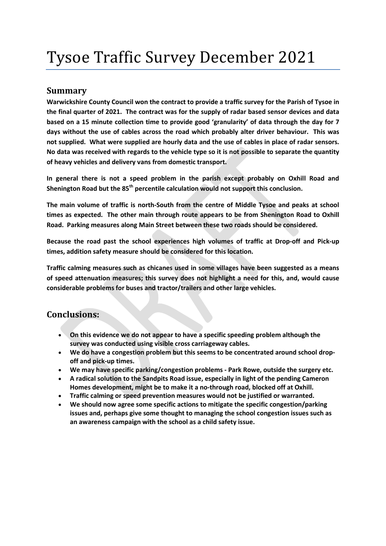# Tysoe Traffic Survey December 2021

### Summary

Warwickshire County Council won the contract to provide a traffic survey for the Parish of Tysoe in the final quarter of 2021. The contract was for the supply of radar based sensor devices and data based on a 15 minute collection time to provide good 'granularity' of data through the day for 7 days without the use of cables across the road which probably alter driver behaviour. This was not supplied. What were supplied are hourly data and the use of cables in place of radar sensors. No data was received with regards to the vehicle type so it is not possible to separate the quantity of heavy vehicles and delivery vans from domestic transport.

In general there is not a speed problem in the parish except probably on Oxhill Road and Shenington Road but the 85<sup>th</sup> percentile calculation would not support this conclusion.

The main volume of traffic is north-South from the centre of Middle Tysoe and peaks at school times as expected. The other main through route appears to be from Shenington Road to Oxhill Road. Parking measures along Main Street between these two roads should be considered.

Because the road past the school experiences high volumes of traffic at Drop-off and Pick-up times, addition safety measure should be considered for this location.

Traffic calming measures such as chicanes used in some villages have been suggested as a means of speed attenuation measures; this survey does not highlight a need for this, and, would cause considerable problems for buses and tractor/trailers and other large vehicles.

## Conclusions:

- On this evidence we do not appear to have a specific speeding problem although the survey was conducted using visible cross carriageway cables.
- We do have a congestion problem but this seems to be concentrated around school dropoff and pick-up times.
- We may have specific parking/congestion problems Park Rowe, outside the surgery etc.
- A radical solution to the Sandpits Road issue, especially in light of the pending Cameron Homes development, might be to make it a no-through road, blocked off at Oxhill.
- Traffic calming or speed prevention measures would not be justified or warranted.
- We should now agree some specific actions to mitigate the specific congestion/parking issues and, perhaps give some thought to managing the school congestion issues such as an awareness campaign with the school as a child safety issue.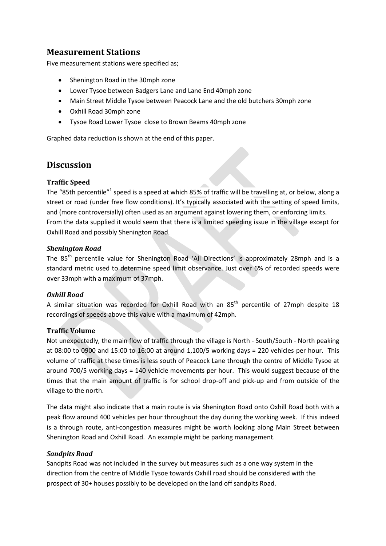# Measurement Stations

Five measurement stations were specified as;

- Shenington Road in the 30mph zone
- Lower Tysoe between Badgers Lane and Lane End 40mph zone
- Main Street Middle Tysoe between Peacock Lane and the old butchers 30mph zone
- Oxhill Road 30mph zone
- Tysoe Road Lower Tysoe close to Brown Beams 40mph zone

Graphed data reduction is shown at the end of this paper.

## **Discussion**

#### Traffic Speed

The "85th percentile"<sup>1</sup> speed is a speed at which 85% of traffic will be travelling at, or below, along a street or road (under free flow conditions). It's typically associated with the setting of speed limits, and (more controversially) often used as an argument against lowering them, or enforcing limits. From the data supplied it would seem that there is a limited speeding issue in the village except for Oxhill Road and possibly Shenington Road.

#### Shenington Road

The 85<sup>th</sup> percentile value for Shenington Road 'All Directions' is approximately 28mph and is a standard metric used to determine speed limit observance. Just over 6% of recorded speeds were over 33mph with a maximum of 37mph.

#### Oxhill Road

A similar situation was recorded for Oxhill Road with an 85<sup>th</sup> percentile of 27mph despite 18 recordings of speeds above this value with a maximum of 42mph.

#### Traffic Volume

Not unexpectedly, the main flow of traffic through the village is North - South/South - North peaking at 08:00 to 0900 and 15:00 to 16:00 at around 1,100/5 working days = 220 vehicles per hour. This volume of traffic at these times is less south of Peacock Lane through the centre of Middle Tysoe at around 700/5 working days = 140 vehicle movements per hour. This would suggest because of the times that the main amount of traffic is for school drop-off and pick-up and from outside of the village to the north.

The data might also indicate that a main route is via Shenington Road onto Oxhill Road both with a peak flow around 400 vehicles per hour throughout the day during the working week. If this indeed is a through route, anti-congestion measures might be worth looking along Main Street between Shenington Road and Oxhill Road. An example might be parking management.

#### Sandpits Road

Sandpits Road was not included in the survey but measures such as a one way system in the direction from the centre of Middle Tysoe towards Oxhill road should be considered with the prospect of 30+ houses possibly to be developed on the land off sandpits Road.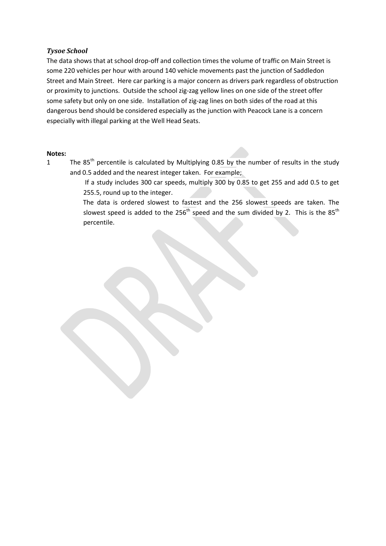#### Tysoe School

The data shows that at school drop-off and collection times the volume of traffic on Main Street is some 220 vehicles per hour with around 140 vehicle movements past the junction of Saddledon Street and Main Street. Here car parking is a major concern as drivers park regardless of obstruction or proximity to junctions. Outside the school zig-zag yellow lines on one side of the street offer some safety but only on one side. Installation of zig-zag lines on both sides of the road at this dangerous bend should be considered especially as the junction with Peacock Lane is a concern especially with illegal parking at the Well Head Seats.

#### Notes:

1 The 85<sup>th</sup> percentile is calculated by Multiplying 0.85 by the number of results in the study and 0.5 added and the nearest integer taken. For example;

> If a study includes 300 car speeds, multiply 300 by 0.85 to get 255 and add 0.5 to get 255.5, round up to the integer.

> The data is ordered slowest to fastest and the 256 slowest speeds are taken. The slowest speed is added to the  $256<sup>th</sup>$  speed and the sum divided by 2. This is the 85<sup>th</sup> percentile.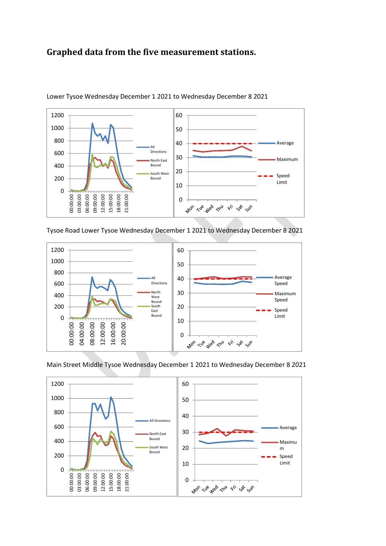# Graphed data from the five measurement stations.



Lower Tysoe Wednesday December 1 2021 to Wednesday December 8 2021

Tysoe Road Lower Tysoe Wednesday December 1 2021 to Wednesday December 8 2021



Main Street Middle Tysoe Wednesday December 1 2021 to Wednesday December 8 2021